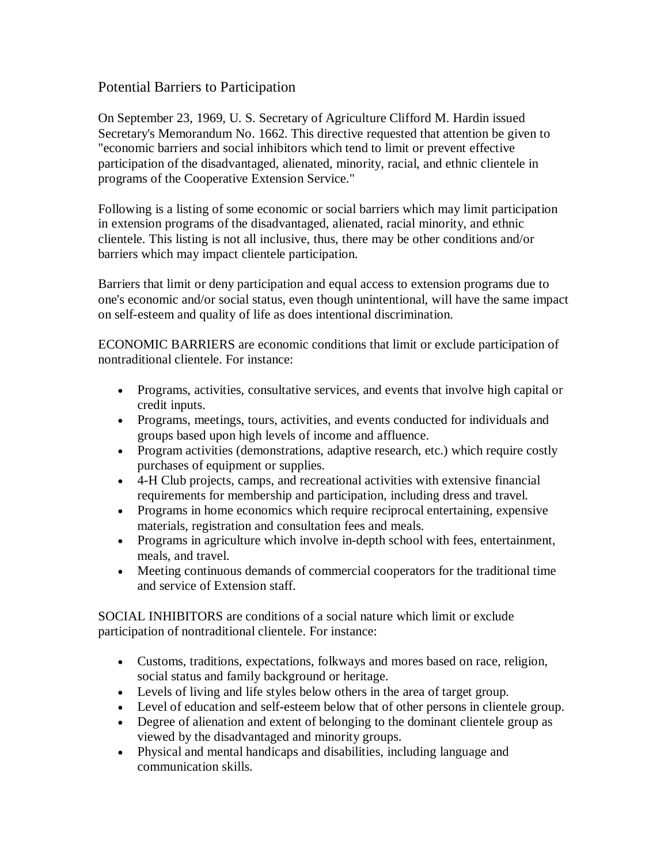## Potential Barriers to Participation

On September 23, 1969, U. S. Secretary of Agriculture Clifford M. Hardin issued Secretary's Memorandum No. 1662. This directive requested that attention be given to "economic barriers and social inhibitors which tend to limit or prevent effective participation of the disadvantaged, alienated, minority, racial, and ethnic clientele in programs of the Cooperative Extension Service."

Following is a listing of some economic or social barriers which may limit participation in extension programs of the disadvantaged, alienated, racial minority, and ethnic clientele. This listing is not all inclusive, thus, there may be other conditions and/or barriers which may impact clientele participation.

Barriers that limit or deny participation and equal access to extension programs due to one's economic and/or social status, even though unintentional, will have the same impact on self-esteem and quality of life as does intentional discrimination.

ECONOMIC BARRIERS are economic conditions that limit or exclude participation of nontraditional clientele. For instance:

- Programs, activities, consultative services, and events that involve high capital or credit inputs.
- Programs, meetings, tours, activities, and events conducted for individuals and groups based upon high levels of income and affluence.
- Program activities (demonstrations, adaptive research, etc.) which require costly purchases of equipment or supplies.
- 4-H Club projects, camps, and recreational activities with extensive financial requirements for membership and participation, including dress and travel.
- Programs in home economics which require reciprocal entertaining, expensive materials, registration and consultation fees and meals.
- Programs in agriculture which involve in-depth school with fees, entertainment, meals, and travel.
- Meeting continuous demands of commercial cooperators for the traditional time and service of Extension staff.

SOCIAL INHIBITORS are conditions of a social nature which limit or exclude participation of nontraditional clientele. For instance:

- Customs, traditions, expectations, folkways and mores based on race, religion, social status and family background or heritage.
- Levels of living and life styles below others in the area of target group.
- Level of education and self-esteem below that of other persons in clientele group.
- Degree of alienation and extent of belonging to the dominant clientele group as viewed by the disadvantaged and minority groups.
- Physical and mental handicaps and disabilities, including language and communication skills.